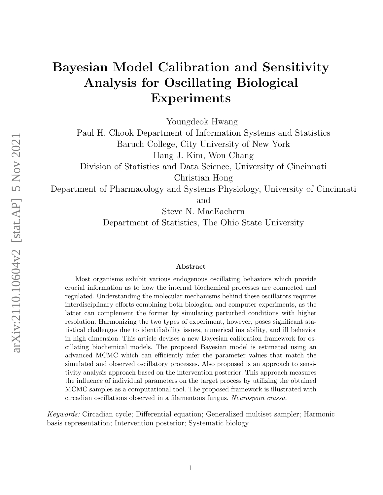## Bayesian Model Calibration and Sensitivity Analysis for Oscillating Biological Experiments

Youngdeok Hwang

Paul H. Chook Department of Information Systems and Statistics Baruch College, City University of New York Hang J. Kim, Won Chang Division of Statistics and Data Science, University of Cincinnati Christian Hong

Department of Pharmacology and Systems Physiology, University of Cincinnati and

Steve N. MacEachern Department of Statistics, The Ohio State University

#### Abstract

Most organisms exhibit various endogenous oscillating behaviors which provide crucial information as to how the internal biochemical processes are connected and regulated. Understanding the molecular mechanisms behind these oscillators requires interdisciplinary efforts combining both biological and computer experiments, as the latter can complement the former by simulating perturbed conditions with higher resolution. Harmonizing the two types of experiment, however, poses significant statistical challenges due to identifiability issues, numerical instability, and ill behavior in high dimension. This article devises a new Bayesian calibration framework for oscillating biochemical models. The proposed Bayesian model is estimated using an advanced MCMC which can efficiently infer the parameter values that match the simulated and observed oscillatory processes. Also proposed is an approach to sensitivity analysis approach based on the intervention posterior. This approach measures the influence of individual parameters on the target process by utilizing the obtained MCMC samples as a computational tool. The proposed framework is illustrated with circadian oscillations observed in a filamentous fungus, Neurospora crassa.

Keywords: Circadian cycle; Differential equation; Generalized multiset sampler; Harmonic basis representation; Intervention posterior; Systematic biology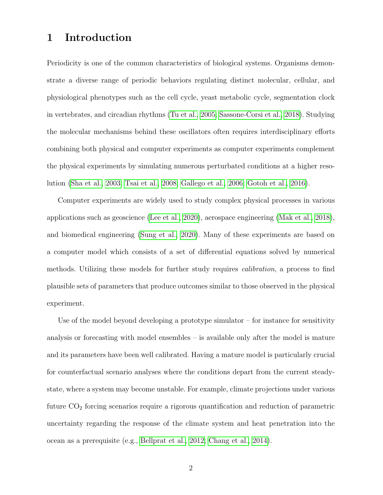### 1 Introduction

Periodicity is one of the common characteristics of biological systems. Organisms demonstrate a diverse range of periodic behaviors regulating distinct molecular, cellular, and physiological phenotypes such as the cell cycle, yeast metabolic cycle, segmentation clock in vertebrates, and circadian rhythms [\(Tu et al., 2005;](#page-34-0) [Sassone-Corsi et al., 2018\)](#page-33-0). Studying the molecular mechanisms behind these oscillators often requires interdisciplinary efforts combining both physical and computer experiments as computer experiments complement the physical experiments by simulating numerous perturbated conditions at a higher resolution [\(Sha et al., 2003;](#page-33-1) [Tsai et al., 2008;](#page-33-2) [Gallego et al., 2006;](#page-30-0) [Gotoh et al., 2016\)](#page-31-0).

Computer experiments are widely used to study complex physical processes in various applications such as geoscience [\(Lee et al., 2020\)](#page-32-0), aerospace engineering [\(Mak et al., 2018\)](#page-32-1), and biomedical engineering [\(Sung et al., 2020\)](#page-33-3). Many of these experiments are based on a computer model which consists of a set of differential equations solved by numerical methods. Utilizing these models for further study requires calibration, a process to find plausible sets of parameters that produce outcomes similar to those observed in the physical experiment.

Use of the model beyond developing a prototype simulator  $-$  for instance for sensitivity analysis or forecasting with model ensembles – is available only after the model is mature and its parameters have been well calibrated. Having a mature model is particularly crucial for counterfactual scenario analyses where the conditions depart from the current steadystate, where a system may become unstable. For example, climate projections under various future  $CO<sub>2</sub>$  forcing scenarios require a rigorous quantification and reduction of parametric uncertainty regarding the response of the climate system and heat penetration into the ocean as a prerequisite (e.g., [Bellprat et al., 2012;](#page-29-0) [Chang et al., 2014\)](#page-29-1).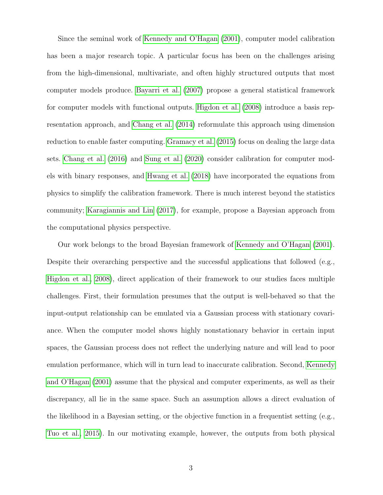Since the seminal work of [Kennedy and O'Hagan](#page-31-1) [\(2001\)](#page-31-1), computer model calibration has been a major research topic. A particular focus has been on the challenges arising from the high-dimensional, multivariate, and often highly structured outputs that most computer models produce. [Bayarri et al.](#page-28-0) [\(2007\)](#page-28-0) propose a general statistical framework for computer models with functional outputs. [Higdon et al.](#page-31-2) [\(2008\)](#page-31-2) introduce a basis representation approach, and [Chang et al.](#page-29-1) [\(2014\)](#page-29-1) reformulate this approach using dimension reduction to enable faster computing. [Gramacy et al.](#page-31-3) [\(2015\)](#page-31-3) focus on dealing the large data sets. [Chang et al.](#page-29-2) [\(2016\)](#page-29-2) and [Sung et al.](#page-33-3) [\(2020\)](#page-33-3) consider calibration for computer models with binary responses, and [Hwang et al.](#page-31-4) [\(2018\)](#page-31-4) have incorporated the equations from physics to simplify the calibration framework. There is much interest beyond the statistics community; [Karagiannis and Lin](#page-31-5) [\(2017\)](#page-31-5), for example, propose a Bayesian approach from the computational physics perspective.

Our work belongs to the broad Bayesian framework of [Kennedy and O'Hagan](#page-31-1) [\(2001\)](#page-31-1). Despite their overarching perspective and the successful applications that followed (e.g., [Higdon et al., 2008\)](#page-31-2), direct application of their framework to our studies faces multiple challenges. First, their formulation presumes that the output is well-behaved so that the input-output relationship can be emulated via a Gaussian process with stationary covariance. When the computer model shows highly nonstationary behavior in certain input spaces, the Gaussian process does not reflect the underlying nature and will lead to poor emulation performance, which will in turn lead to inaccurate calibration. Second, [Kennedy](#page-31-1) [and O'Hagan](#page-31-1) [\(2001\)](#page-31-1) assume that the physical and computer experiments, as well as their discrepancy, all lie in the same space. Such an assumption allows a direct evaluation of the likelihood in a Bayesian setting, or the objective function in a frequentist setting (e.g., [Tuo et al., 2015\)](#page-34-1). In our motivating example, however, the outputs from both physical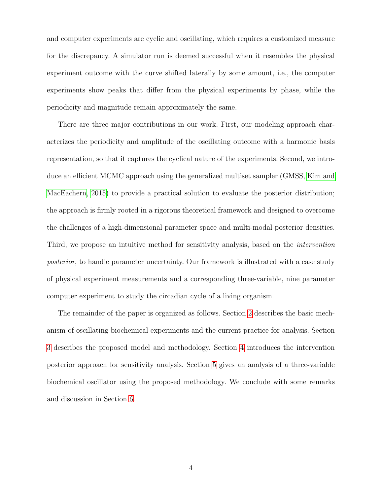and computer experiments are cyclic and oscillating, which requires a customized measure for the discrepancy. A simulator run is deemed successful when it resembles the physical experiment outcome with the curve shifted laterally by some amount, i.e., the computer experiments show peaks that differ from the physical experiments by phase, while the periodicity and magnitude remain approximately the same.

There are three major contributions in our work. First, our modeling approach characterizes the periodicity and amplitude of the oscillating outcome with a harmonic basis representation, so that it captures the cyclical nature of the experiments. Second, we introduce an efficient MCMC approach using the generalized multiset sampler (GMSS, [Kim and](#page-31-6) [MacEachern, 2015\)](#page-31-6) to provide a practical solution to evaluate the posterior distribution; the approach is firmly rooted in a rigorous theoretical framework and designed to overcome the challenges of a high-dimensional parameter space and multi-modal posterior densities. Third, we propose an intuitive method for sensitivity analysis, based on the intervention posterior, to handle parameter uncertainty. Our framework is illustrated with a case study of physical experiment measurements and a corresponding three-variable, nine parameter computer experiment to study the circadian cycle of a living organism.

The remainder of the paper is organized as follows. Section [2](#page-4-0) describes the basic mechanism of oscillating biochemical experiments and the current practice for analysis. Section [3](#page-8-0) describes the proposed model and methodology. Section [4](#page-18-0) introduces the intervention posterior approach for sensitivity analysis. Section [5](#page-21-0) gives an analysis of a three-variable biochemical oscillator using the proposed methodology. We conclude with some remarks and discussion in Section [6.](#page-27-0)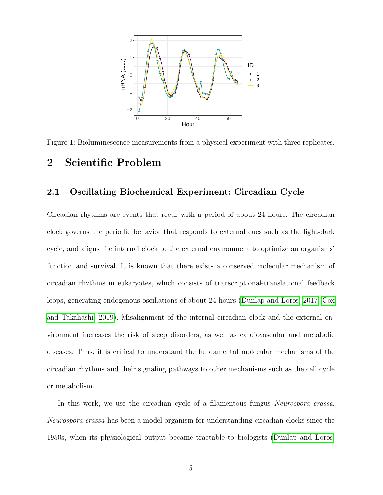

<span id="page-4-1"></span>Figure 1: Bioluminescence measurements from a physical experiment with three replicates.

### <span id="page-4-0"></span>2 Scientific Problem

#### 2.1 Oscillating Biochemical Experiment: Circadian Cycle

Circadian rhythms are events that recur with a period of about 24 hours. The circadian clock governs the periodic behavior that responds to external cues such as the light-dark cycle, and aligns the internal clock to the external environment to optimize an organisms' function and survival. It is known that there exists a conserved molecular mechanism of circadian rhythms in eukaryotes, which consists of transcriptional-translational feedback loops, generating endogenous oscillations of about 24 hours [\(Dunlap and Loros, 2017;](#page-30-1) [Cox](#page-30-2) [and Takahashi, 2019\)](#page-30-2). Misalignment of the internal circadian clock and the external environment increases the risk of sleep disorders, as well as cardiovascular and metabolic diseases. Thus, it is critical to understand the fundamental molecular mechanisms of the circadian rhythms and their signaling pathways to other mechanisms such as the cell cycle or metabolism.

In this work, we use the circadian cycle of a filamentous fungus *Neurospora crassa*. Neurospora crassa has been a model organism for understanding circadian clocks since the 1950s, when its physiological output became tractable to biologists [\(Dunlap and Loros,](#page-30-1)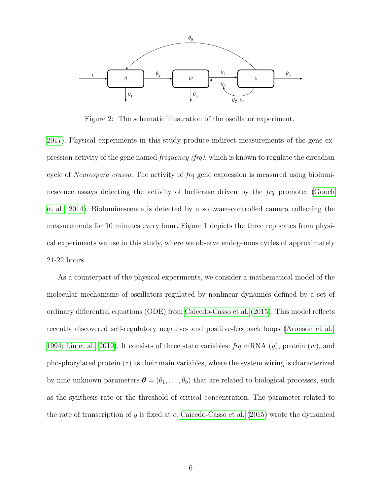

<span id="page-5-0"></span>Figure 2: The schematic illustration of the oscillator experiment.

[2017\)](#page-30-1). Physical experiments in this study produce indirect measurements of the gene expression activity of the gene named *frequency (frq)*, which is known to regulate the circadian cycle of *Neurospora crassa*. The activity of frq gene expression is measured using bioluminescence assays detecting the activity of luciferase driven by the  $f_{\text{r}}\eta$  promoter [\(Gooch](#page-30-3) [et al., 2014\)](#page-30-3). Bioluminescence is detected by a software-controlled camera collecting the measurements for 10 minutes every hour. Figure 1 depicts the three replicates from physical experiments we use in this study, where we observe endogenous cycles of approximately 21-22 hours.

As a counterpart of the physical experiments, we consider a mathematical model of the molecular mechanisms of oscillators regulated by nonlinear dynamics defined by a set of ordinary differential equations (ODE) from [Caicedo-Casso et al.](#page-29-3) [\(2015\)](#page-29-3). This model reflects recently discovered self-regulatory negative- and positive-feedback loops [\(Aronson et al.,](#page-28-1) [1994;](#page-28-1) [Liu et al., 2019\)](#page-32-2). It consists of three state variables: frq mRNA  $(y)$ , protein  $(w)$ , and phosphorylated protein  $(z)$  as their main variables, where the system wiring is characterized by nine unknown parameters  $\boldsymbol{\theta} = (\theta_1, \dots, \theta_9)$  that are related to biological processes, such as the synthesis rate or the threshold of critical concentration. The parameter related to the rate of transcription of y is fixed at c. [Caicedo-Casso et al.](#page-29-3) [\(2015\)](#page-29-3) wrote the dynamical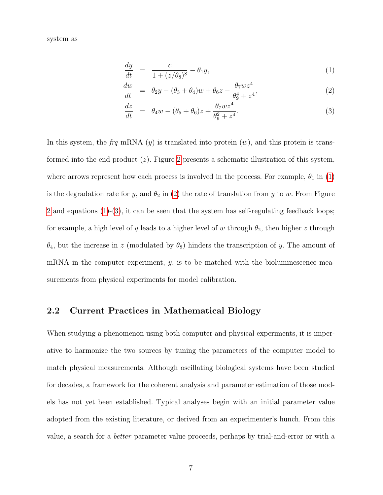system as

<span id="page-6-0"></span>
$$
\frac{dy}{dt} = \frac{c}{1 + (z/\theta_8)^8} - \theta_1 y,\tag{1}
$$

$$
\frac{dw}{dt} = \theta_2 y - (\theta_3 + \theta_4)w + \theta_6 z - \frac{\theta_7 w z^4}{\theta_9^4 + z^4},
$$
\n(2)

$$
\frac{dz}{dt} = \theta_4 w - (\theta_5 + \theta_6)z + \frac{\theta_7 w z^4}{\theta_9^2 + z^4}.
$$
\n(3)

In this system, the frq mRNA  $(y)$  is translated into protein  $(w)$ , and this protein is transformed into the end product  $(z)$ . Figure [2](#page-5-0) presents a schematic illustration of this system, where arrows represent how each process is involved in the process. For example,  $\theta_1$  in [\(1\)](#page-6-0) is the degradation rate for y, and  $\theta_2$  in [\(2\)](#page-6-0) the rate of translation from y to w. From Figure [2](#page-5-0) and equations  $(1)-(3)$  $(1)-(3)$  $(1)-(3)$ , it can be seen that the system has self-regulating feedback loops; for example, a high level of y leads to a higher level of w through  $\theta_2$ , then higher z through  $\theta_4$ , but the increase in z (modulated by  $\theta_8$ ) hinders the transcription of y. The amount of mRNA in the computer experiment,  $y$ , is to be matched with the bioluminescence measurements from physical experiments for model calibration.

#### 2.2 Current Practices in Mathematical Biology

When studying a phenomenon using both computer and physical experiments, it is imperative to harmonize the two sources by tuning the parameters of the computer model to match physical measurements. Although oscillating biological systems have been studied for decades, a framework for the coherent analysis and parameter estimation of those models has not yet been established. Typical analyses begin with an initial parameter value adopted from the existing literature, or derived from an experimenter's hunch. From this value, a search for a better parameter value proceeds, perhaps by trial-and-error or with a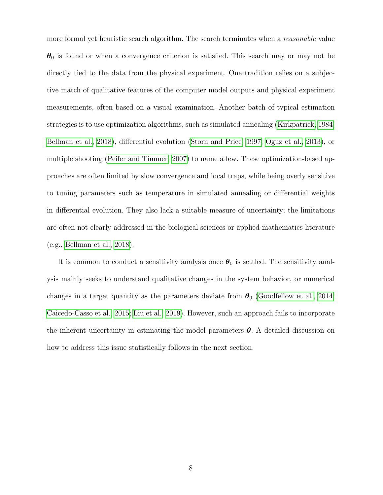more formal yet heuristic search algorithm. The search terminates when a *reasonable* value  $\theta_0$  is found or when a convergence criterion is satisfied. This search may or may not be directly tied to the data from the physical experiment. One tradition relies on a subjective match of qualitative features of the computer model outputs and physical experiment measurements, often based on a visual examination. Another batch of typical estimation strategies is to use optimization algorithms, such as simulated annealing [\(Kirkpatrick, 1984;](#page-31-7) [Bellman et al., 2018\)](#page-29-4), differential evolution [\(Storn and Price, 1997;](#page-33-4) [Oguz et al., 2013\)](#page-32-3), or multiple shooting [\(Peifer and Timmer, 2007\)](#page-33-5) to name a few. These optimization-based approaches are often limited by slow convergence and local traps, while being overly sensitive to tuning parameters such as temperature in simulated annealing or differential weights in differential evolution. They also lack a suitable measure of uncertainty; the limitations are often not clearly addressed in the biological sciences or applied mathematics literature (e.g., [Bellman et al., 2018\)](#page-29-4).

It is common to conduct a sensitivity analysis once  $\theta_0$  is settled. The sensitivity analysis mainly seeks to understand qualitative changes in the system behavior, or numerical changes in a target quantity as the parameters deviate from  $\theta_0$  [\(Goodfellow et al., 2014;](#page-30-4) [Caicedo-Casso et al., 2015;](#page-29-3) [Liu et al., 2019\)](#page-32-2). However, such an approach fails to incorporate the inherent uncertainty in estimating the model parameters  $\boldsymbol{\theta}$ . A detailed discussion on how to address this issue statistically follows in the next section.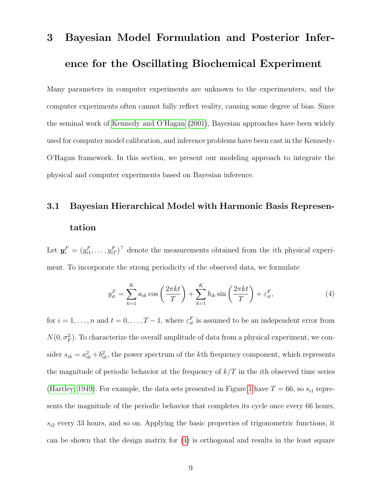# <span id="page-8-0"></span>3 Bayesian Model Formulation and Posterior Inference for the Oscillating Biochemical Experiment

Many parameters in computer experiments are unknown to the experimenters, and the computer experiments often cannot fully reflect reality, causing some degree of bias. Since the seminal work of [Kennedy and O'Hagan](#page-31-1) [\(2001\)](#page-31-1), Bayesian approaches have been widely used for computer model calibration, and inference problems have been cast in the Kennedy-O'Hagan framework. In this section, we present our modeling approach to integrate the physical and computer experiments based on Bayesian inference.

## 3.1 Bayesian Hierarchical Model with Harmonic Basis Representation

Let  $y_i^F = (y_{i1}^F, \ldots, y_{iT}^F)^\top$  denote the measurements obtained from the *i*th physical experiment. To incorporate the strong periodicity of the observed data, we formulate

<span id="page-8-1"></span>
$$
y_{it}^F = \sum_{k=1}^K a_{ik} \cos\left(\frac{2\pi kt}{T}\right) + \sum_{k=1}^K b_{ik} \sin\left(\frac{2\pi kt}{T}\right) + \varepsilon_{it}^F,
$$
 (4)

for  $i = 1, \ldots, n$  and  $t = 0, \ldots, T-1$ , where  $\varepsilon_{it}^F$  is assumed to be an independent error from  $N(0, \sigma_F^2)$ . To characterize the overall amplitude of data from a physical experiment, we consider  $s_{ik} = a_{ik}^2 + b_{ik}^2$ , the power spectrum of the kth frequency component, which represents the magnitude of periodic behavior at the frequency of  $k/T$  in the *i*th observed time series [\(Hartley, 1949\)](#page-31-8). For example, the data sets presented in Figure [1](#page-4-1) have  $T = 66$ , so  $s_{i1}$  represents the magnitude of the periodic behavior that completes its cycle once every 66 hours,  $s_{i2}$  every 33 hours, and so on. Applying the basic properties of trigonometric functions, it can be shown that the design matrix for [\(4\)](#page-8-1) is orthogonal and results in the least square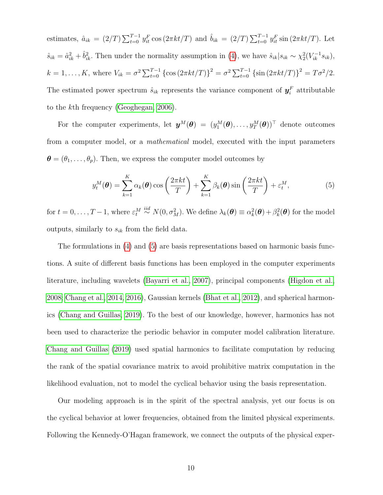estimates,  $\hat{a}_{ik} = (2/T) \sum_{t=0}^{T-1} y_{it}^F \cos(2\pi kt/T)$  and  $\hat{b}_{ik} = (2/T) \sum_{t=0}^{T-1} y_{it}^F \sin(2\pi kt/T)$ . Let  $\hat{s}_{ik} = \hat{a}_{ik}^2 + \hat{b}_{ik}^2$ . Then under the normality assumption in [\(4\)](#page-8-1), we have  $\hat{s}_{ik}|s_{ik} \sim \chi_2^2(V_{ik}^{-1}s_{ik}),$  $k = 1, ..., K$ , where  $V_{ik} = \sigma^2 \sum_{t=0}^{T-1} {\cos(2\pi kt/T)}^2 = \sigma^2 \sum_{t=0}^{T-1} {\sin(2\pi kt/T)}^2 = T\sigma^2/2$ . The estimated power spectrum  $\hat{s}_{ik}$  represents the variance component of  $y_i^F$  attributable to the kth frequency [\(Geoghegan, 2006\)](#page-30-5).

For the computer experiments, let  $\bm{y}^{M}(\bm{\theta}) = (y_1^M(\bm{\theta}), \ldots, y_T^M(\bm{\theta}))^{\top}$  denote outcomes from a computer model, or a mathematical model, executed with the input parameters  $\boldsymbol{\theta} = (\theta_1, \dots, \theta_p)$ . Then, we express the computer model outcomes by

<span id="page-9-0"></span>
$$
y_t^M(\boldsymbol{\theta}) = \sum_{k=1}^K \alpha_k(\boldsymbol{\theta}) \cos\left(\frac{2\pi kt}{T}\right) + \sum_{k=1}^K \beta_k(\boldsymbol{\theta}) \sin\left(\frac{2\pi kt}{T}\right) + \varepsilon_t^M,
$$
(5)

for  $t = 0, \ldots, T-1$ , where  $\varepsilon_t^M \stackrel{iid}{\sim} N(0, \sigma_M^2)$ . We define  $\lambda_k(\boldsymbol{\theta}) \equiv \alpha_k^2(\boldsymbol{\theta}) + \beta_k^2(\boldsymbol{\theta})$  for the model outputs, similarly to  $s_{ik}$  from the field data.

The formulations in [\(4\)](#page-8-1) and [\(5\)](#page-9-0) are basis representations based on harmonic basis functions. A suite of different basis functions has been employed in the computer experiments literature, including wavelets [\(Bayarri et al., 2007\)](#page-28-0), principal components [\(Higdon et al.,](#page-31-2) [2008;](#page-31-2) [Chang et al., 2014,](#page-29-1) [2016\)](#page-29-2), Gaussian kernels [\(Bhat et al., 2012\)](#page-29-5), and spherical harmonics [\(Chang and Guillas, 2019\)](#page-29-6). To the best of our knowledge, however, harmonics has not been used to characterize the periodic behavior in computer model calibration literature. [Chang and Guillas](#page-29-6) [\(2019\)](#page-29-6) used spatial harmonics to facilitate computation by reducing the rank of the spatial covariance matrix to avoid prohibitive matrix computation in the likelihood evaluation, not to model the cyclical behavior using the basis representation.

Our modeling approach is in the spirit of the spectral analysis, yet our focus is on the cyclical behavior at lower frequencies, obtained from the limited physical experiments. Following the Kennedy-O'Hagan framework, we connect the outputs of the physical exper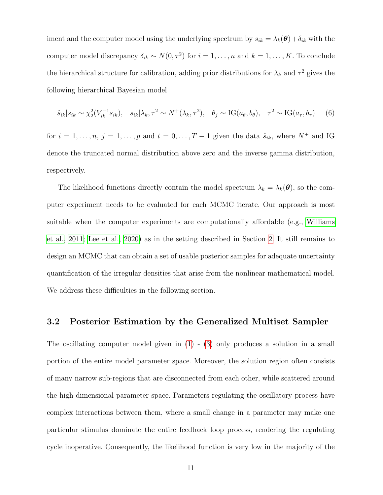iment and the computer model using the underlying spectrum by  $s_{ik} = \lambda_k(\boldsymbol{\theta}) + \delta_{ik}$  with the computer model discrepancy  $\delta_{ik} \sim N(0, \tau^2)$  for  $i = 1, \ldots, n$  and  $k = 1, \ldots, K$ . To conclude the hierarchical structure for calibration, adding prior distributions for  $\lambda_k$  and  $\tau^2$  gives the following hierarchical Bayesian model

<span id="page-10-0"></span>
$$
\hat{s}_{ik}|s_{ik} \sim \chi_2^2(V_{ik}^{-1} s_{ik}), \quad s_{ik}|\lambda_k, \tau^2 \sim N^+(\lambda_k, \tau^2), \quad \theta_j \sim \text{IG}(a_\theta, b_\theta), \quad \tau^2 \sim \text{IG}(a_\tau, b_\tau) \tag{6}
$$

for  $i = 1, \ldots, n, j = 1, \ldots, p$  and  $t = 0, \ldots, T - 1$  given the data  $\hat{s}_{ik}$ , where  $N^+$  and IG denote the truncated normal distribution above zero and the inverse gamma distribution, respectively.

The likelihood functions directly contain the model spectrum  $\lambda_k = \lambda_k(\boldsymbol{\theta})$ , so the computer experiment needs to be evaluated for each MCMC iterate. Our approach is most suitable when the computer experiments are computationally affordable (e.g., [Williams](#page-34-2) [et al., 2011;](#page-34-2) [Lee et al., 2020\)](#page-32-0) as in the setting described in Section [2.](#page-4-0) It still remains to design an MCMC that can obtain a set of usable posterior samples for adequate uncertainty quantification of the irregular densities that arise from the nonlinear mathematical model. We address these difficulties in the following section.

#### <span id="page-10-1"></span>3.2 Posterior Estimation by the Generalized Multiset Sampler

The oscillating computer model given in  $(1)$  -  $(3)$  only produces a solution in a small portion of the entire model parameter space. Moreover, the solution region often consists of many narrow sub-regions that are disconnected from each other, while scattered around the high-dimensional parameter space. Parameters regulating the oscillatory process have complex interactions between them, where a small change in a parameter may make one particular stimulus dominate the entire feedback loop process, rendering the regulating cycle inoperative. Consequently, the likelihood function is very low in the majority of the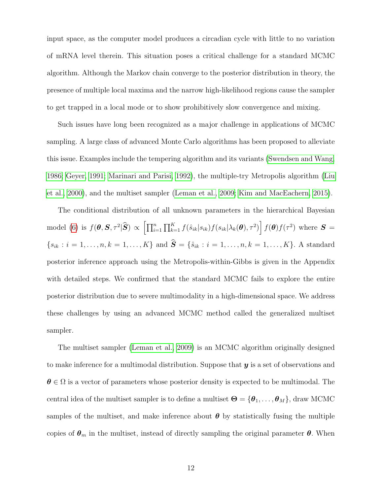input space, as the computer model produces a circadian cycle with little to no variation of mRNA level therein. This situation poses a critical challenge for a standard MCMC algorithm. Although the Markov chain converge to the posterior distribution in theory, the presence of multiple local maxima and the narrow high-likelihood regions cause the sampler to get trapped in a local mode or to show prohibitively slow convergence and mixing.

Such issues have long been recognized as a major challenge in applications of MCMC sampling. A large class of advanced Monte Carlo algorithms has been proposed to alleviate this issue. Examples include the tempering algorithm and its variants [\(Swendsen and Wang,](#page-33-6) [1986;](#page-33-6) [Geyer, 1991;](#page-30-6) [Marinari and Parisi, 1992\)](#page-32-4), the multiple-try Metropolis algorithm [\(Liu](#page-32-5) [et al., 2000\)](#page-32-5), and the multiset sampler [\(Leman et al., 2009;](#page-32-6) [Kim and MacEachern, 2015\)](#page-31-6).

The conditional distribution of all unknown parameters in the hierarchical Bayesian model [\(6\)](#page-10-0) is  $f(\boldsymbol{\theta}, \boldsymbol{S}, \tau^2 | \widehat{\boldsymbol{S}}) \propto \left[ \prod_{i=1}^n \prod_{k=1}^K f(\hat{s}_{ik}|s_{ik}) f(s_{ik}|\lambda_k(\boldsymbol{\theta}), \tau^2) \right] f(\boldsymbol{\theta}) f(\tau^2)$  where  $\boldsymbol{S} =$  ${s_{ik} : i = 1, \ldots, n, k = 1, \ldots, K}$  and  $\hat{S} = \{\hat{s}_{ik} : i = 1, \ldots, n, k = 1, \ldots, K\}$ . A standard posterior inference approach using the Metropolis-within-Gibbs is given in the Appendix with detailed steps. We confirmed that the standard MCMC fails to explore the entire posterior distribution due to severe multimodality in a high-dimensional space. We address these challenges by using an advanced MCMC method called the generalized multiset sampler.

The multiset sampler [\(Leman et al., 2009\)](#page-32-6) is an MCMC algorithm originally designed to make inference for a multimodal distribution. Suppose that  $y$  is a set of observations and  $\theta \in \Omega$  is a vector of parameters whose posterior density is expected to be multimodal. The central idea of the multiset sampler is to define a multiset  $\Theta = {\theta_1, \ldots, \theta_M}$ , draw MCMC samples of the multiset, and make inference about  $\theta$  by statistically fusing the multiple copies of  $\theta_m$  in the multiset, instead of directly sampling the original parameter  $\theta$ . When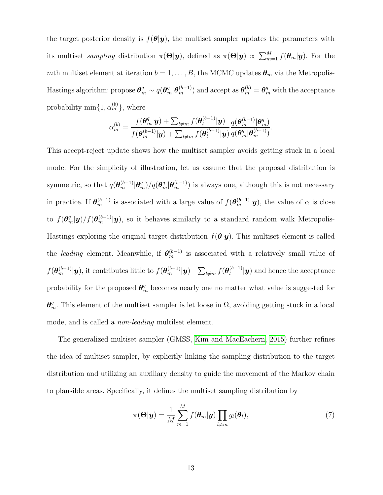the target posterior density is  $f(\theta|\mathbf{y})$ , the multiset sampler updates the parameters with its multiset *sampling* distribution  $\pi(\Theta|\bm{y})$ , defined as  $\pi(\Theta|\bm{y}) \propto \sum_{m=1}^{M} f(\bm{\theta}_m|\bm{y})$ . For the mth multiset element at iteration  $b = 1, \ldots, B$ , the MCMC updates  $\theta_m$  via the Metropolis-Hastings algorithm: propose  $\bm{\theta}_m^q\sim q(\bm{\theta}_m^q|\bm{\theta}_m^{(b-1)})$  and accept as  $\bm{\theta}_m^{(b)}=\bm{\theta}_m^q$  with the acceptance probability  $\min\{1, \alpha_m^{(b)}\},\$  where

$$
\alpha_m^{(b)} = \frac{f(\boldsymbol{\theta}_m^q | \boldsymbol{y}) + \sum_{l \neq m} f(\boldsymbol{\theta}_l^{(b-1)} | \boldsymbol{y})}{f(\boldsymbol{\theta}_m^{(b-1)} | \boldsymbol{y}) + \sum_{l \neq m} f(\boldsymbol{\theta}_l^{(b-1)} | \boldsymbol{y})} \frac{q(\boldsymbol{\theta}_m^{(b-1)} | \boldsymbol{\theta}_m^q)}{q(\boldsymbol{\theta}_m^q | \boldsymbol{\theta}_m^{(b-1)})}.
$$

This accept-reject update shows how the multiset sampler avoids getting stuck in a local mode. For the simplicity of illustration, let us assume that the proposal distribution is symmetric, so that  $q(\theta_m^{(b-1)} | \theta_m^q)/q(\theta_m^q | \theta_m^{(b-1)})$  is always one, although this is not necessary in practice. If  $\theta_m^{(b-1)}$  is associated with a large value of  $f(\theta_m^{(b-1)}|\mathbf{y})$ , the value of  $\alpha$  is close to  $f(\theta_m^q|\boldsymbol{y})/f(\theta_m^{(b-1)}|\boldsymbol{y})$ , so it behaves similarly to a standard random walk Metropolis-Hastings exploring the original target distribution  $f(\theta|\mathbf{y})$ . This multiset element is called the *leading* element. Meanwhile, if  $\theta_m^{(b-1)}$  is associated with a relatively small value of  $f(\bm{\theta}_m^{(b-1)}|\bm{y}),$  it contributes little to  $f(\bm{\theta}_m^{(b-1)}|\bm{y}) + \sum_{l\neq m} f(\bm{\theta}_l^{(b-1)}|)$  $\left\lfloor \binom{b-1}{l} \right\rfloor$  and hence the acceptance probability for the proposed  $\theta_m^q$  becomes nearly one no matter what value is suggested for  $\theta_m^q$ . This element of the multiset sampler is let loose in  $\Omega$ , avoiding getting stuck in a local mode, and is called a non-leading multilset element.

The generalized multiset sampler (GMSS, [Kim and MacEachern, 2015\)](#page-31-6) further refines the idea of multiset sampler, by explicitly linking the sampling distribution to the target distribution and utilizing an auxiliary density to guide the movement of the Markov chain to plausible areas. Specifically, it defines the multiset sampling distribution by

<span id="page-12-0"></span>
$$
\pi(\Theta|\mathbf{y}) = \frac{1}{M} \sum_{m=1}^{M} f(\boldsymbol{\theta}_m|\mathbf{y}) \prod_{l \neq m} g_l(\boldsymbol{\theta}_l),
$$
\n(7)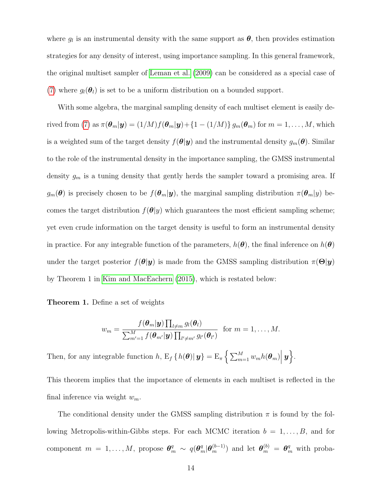where  $g_l$  is an instrumental density with the same support as  $\boldsymbol{\theta}$ , then provides estimation strategies for any density of interest, using importance sampling. In this general framework, the original multiset sampler of [Leman et al.](#page-32-6) [\(2009\)](#page-32-6) can be considered as a special case of [\(7\)](#page-12-0) where  $q_l(\theta_l)$  is set to be a uniform distribution on a bounded support.

With some algebra, the marginal sampling density of each multiset element is easily de-rived from [\(7\)](#page-12-0) as  $\pi(\theta_m|\mathbf{y}) = (1/M)f(\theta_m|\mathbf{y}) + \{1 - (1/M)\}g_m(\theta_m)$  for  $m = 1, ..., M$ , which is a weighted sum of the target density  $f(\theta|\mathbf{y})$  and the instrumental density  $g_m(\theta)$ . Similar to the role of the instrumental density in the importance sampling, the GMSS instrumental density  $g_m$  is a tuning density that gently herds the sampler toward a promising area. If  $g_m(\theta)$  is precisely chosen to be  $f(\theta_m|\mathbf{y})$ , the marginal sampling distribution  $\pi(\theta_m|y)$  becomes the target distribution  $f(\theta|y)$  which guarantees the most efficient sampling scheme; yet even crude information on the target density is useful to form an instrumental density in practice. For any integrable function of the parameters,  $h(\theta)$ , the final inference on  $h(\theta)$ under the target posterior  $f(\theta|\mathbf{y})$  is made from the GMSS sampling distribution  $\pi(\Theta|\mathbf{y})$ by Theorem 1 in [Kim and MacEachern](#page-31-6) [\(2015\)](#page-31-6), which is restated below:

Theorem 1. Define a set of weights

$$
w_m = \frac{f(\boldsymbol{\theta}_m|\mathbf{y})\prod_{l \neq m} g_l(\boldsymbol{\theta}_l)}{\sum_{m'=1}^M f(\boldsymbol{\theta}_{m'}|\mathbf{y})\prod_{l' \neq m'} g_{l'}(\boldsymbol{\theta}_{l'})} \text{ for } m = 1,\ldots,M.
$$

Then, for any integrable function  $h$ ,  $E_f\{h(\theta)|\mathbf{y}\}=E_{\pi}\left\{\sum_{m=1}^M w_m h(\theta_m)\Big|\mathbf{y}\right\}$ .

This theorem implies that the importance of elements in each multiset is reflected in the final inference via weight  $w_m$ .

The conditional density under the GMSS sampling distribution  $\pi$  is found by the following Metropolis-within-Gibbs steps. For each MCMC iteration  $b = 1, \ldots, B$ , and for component  $m = 1, ..., M$ , propose  $\theta_m^q \sim q(\theta_m^q | \theta_m^{(b-1)})$  and let  $\theta_m^{(b)} = \theta_m^q$  with proba-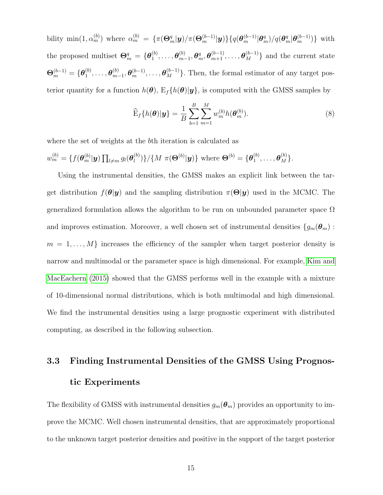bility min $(1, \alpha_m^{(b)})$  where  $\alpha_m^{(b)} = {\pi(\Theta_m^q|\boldsymbol{y})}{\pi(\Theta_m^{(b-1)}|\boldsymbol{y})}\{q(\theta_m^{(b-1)}|\theta_m^q)/q(\theta_m^q|\theta_m^{(b-1)})\}$  with the proposed multiset  $\mathbf{\Theta}_m^q = \{\boldsymbol{\theta}_1^{(b)}\}$  $\overset{(b)}{1},\ldots,\boldsymbol{\theta}_{m}^{(b)}$  $\{\boldsymbol{\theta}^{(b)}_{m-1}, \boldsymbol{\theta}^{q}_{m}, \boldsymbol{\theta}^{(b-1)}_{m+1}, \ldots, \boldsymbol{\theta}^{(b-1)}_{M}\}$  and the current state  $\mathbf{\Theta}_{m}^{(b-1)}=\{\boldsymbol{\theta}_1^{(b)}% (\mathbf{\theta}_{m}^{(b)}\cdot\mathbf{\theta}_{m}^{(b)})\in\mathcal{C}_{m}^{(b)}\times\mathcal{C}_{m}^{(b)}\}$  ${\theta_1^{(b)},\ldots,\boldsymbol{\theta}_m^{(b)}}$  $\{\boldsymbol{\theta}_m^{(b)}, \boldsymbol{\theta}_m^{(b-1)}, \ldots, \boldsymbol{\theta}_M^{(b-1)}\}$ . Then, the formal estimator of any target posterior quantity for a function  $h(\theta)$ ,  $E_f\{h(\theta)|y\}$ , is computed with the GMSS samples by

$$
\widehat{\mathbf{E}}_f\{h(\boldsymbol{\theta})|\mathbf{y}\} = \frac{1}{B} \sum_{b=1}^{B} \sum_{m=1}^{M} w_m^{(b)} h(\boldsymbol{\theta}_m^{(b)}).
$$
\n(8)

where the set of weights at the bth iteration is calculated as

$$
w_m^{(b)} = \{ f(\boldsymbol{\theta}_m^{(b)} | \boldsymbol{y}) \prod_{l \neq m} g_l(\boldsymbol{\theta}_l^{(b)}) \} / \{ M \ \pi(\boldsymbol{\Theta}^{(b)} | \boldsymbol{y}) \} \text{ where } \boldsymbol{\Theta}^{(b)} = \{ \boldsymbol{\theta}_1^{(b)}, \ldots, \boldsymbol{\theta}_M^{(b)} \}.
$$

Using the instrumental densities, the GMSS makes an explicit link between the target distribution  $f(\theta|\mathbf{y})$  and the sampling distribution  $\pi(\Theta|\mathbf{y})$  used in the MCMC. The generalized formulation allows the algorithm to be run on unbounded parameter space  $\Omega$ and improves estimation. Moreover, a well chosen set of instrumental densities  $\{g_m(\theta_m):$  $m = 1, \ldots, M$  increases the efficiency of the sampler when target posterior density is narrow and multimodal or the parameter space is high dimensional. For example, [Kim and](#page-31-6) [MacEachern](#page-31-6) [\(2015\)](#page-31-6) showed that the GMSS performs well in the example with a mixture of 10-dimensional normal distributions, which is both multimodal and high dimensional. We find the instrumental densities using a large prognostic experiment with distributed computing, as described in the following subsection.

## <span id="page-14-0"></span>3.3 Finding Instrumental Densities of the GMSS Using Prognostic Experiments

The flexibility of GMSS with instrumental densities  $g_m(\theta_m)$  provides an opportunity to improve the MCMC. Well chosen instrumental densities, that are approximately proportional to the unknown target posterior densities and positive in the support of the target posterior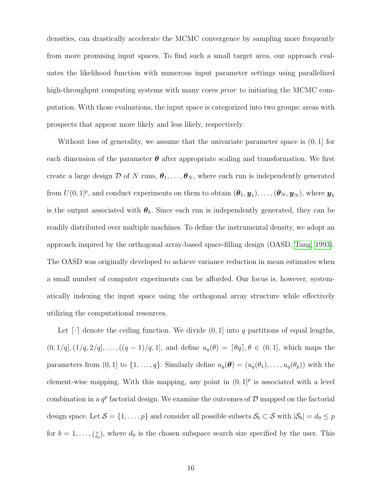densities, can drastically accelerate the MCMC convergence by sampling more frequently from more promising input spaces. To find such a small target area, our approach evaluates the likelihood function with numerous input parameter settings using parallelized high-throughput computing systems with many cores *prior* to initiating the MCMC computation. With those evaluations, the input space is categorized into two groups: areas with prospects that appear more likely and less likely, respectively.

Without loss of generality, we assume that the univariate parameter space is  $(0, 1]$  for each dimension of the parameter  $\theta$  after appropriate scaling and transformation. We first create a large design D of N runs,  $\theta_1, \ldots, \theta_N$ , where each run is independently generated from  $U(0,1]^p$ , and conduct experiments on them to obtain  $(\boldsymbol{\theta}_1, \boldsymbol{y}_1), \ldots, (\boldsymbol{\theta}_N, \boldsymbol{y}_N)$ , where  $\boldsymbol{y}_k$ is the output associated with  $\theta_k$ . Since each run is independently generated, they can be readily distributed over multiple machines. To define the instrumental density, we adopt an approach inspired by the orthogonal array-based space-filling design (OASD, [Tang, 1993\)](#page-33-7). The OASD was originally developed to achieve variance reduction in mean estimates when a small number of computer experiments can be afforded. Our focus is, however, systematically indexing the input space using the orthogonal array structure while effectively utilizing the computational resources.

Let  $\lceil \cdot \rceil$  denote the ceiling function. We divide  $(0, 1]$  into q partitions of equal lengths,  $(0, 1/q], (1/q, 2/q], \ldots, ((q - 1)/q, 1],$  and define  $u_q(\theta) = [\theta q], \theta \in (0, 1],$  which maps the parameters from  $(0, 1]$  to  $\{1, \ldots, q\}$ . Similarly define  $u_q(\boldsymbol{\theta}) = (u_q(\theta_1), \ldots, u_q(\theta_p))$  with the element-wise mapping. With this mapping, any point in  $(0,1]^p$  is associated with a level combination in a  $q^p$  factorial design. We examine the outcomes of  $\mathcal D$  mapped on the factorial design space. Let  $S = \{1, \ldots, p\}$  and consider all possible subsets  $S_b \subset S$  with  $|S_b| = d_0 \leq p$ for  $b = 1, \ldots, {p \choose d_0}$ , where  $d_0$  is the chosen subspace search size specified by the user. This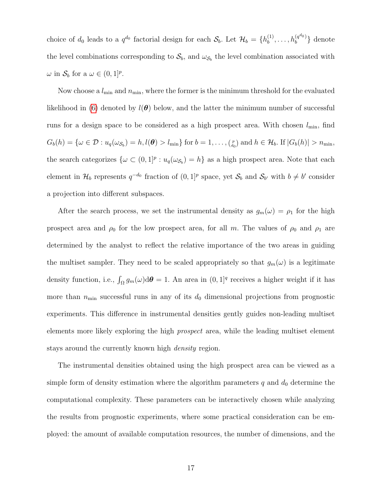choice of  $d_0$  leads to a  $q^{d_0}$  factorial design for each  $S_b$ . Let  $\mathcal{H}_b = \{h_b^{(1)}\}$  $h_b^{(1)}, \ldots, h_b^{(q^{d_0})}$  $b^{(q^{a_0})}\}$  denote the level combinations corresponding to  $S_b$ , and  $\omega_{S_b}$  the level combination associated with  $\omega$  in  $\mathcal{S}_b$  for a  $\omega \in (0,1]^p$ .

Now choose a  $l_{\min}$  and  $n_{\min}$ , where the former is the minimum threshold for the evaluated likelihood in [\(6\)](#page-10-0) denoted by  $l(\theta)$  below, and the latter the minimum number of successful runs for a design space to be considered as a high prospect area. With chosen  $l_{\min}$ , find  $G_b(h) = \{ \omega \in \mathcal{D} : u_q(\omega_{\mathcal{S}_b}) = h, l(\boldsymbol{\theta}) > l_{\min} \}$  for  $b = 1, \dots, {p \choose d_0}$  and  $h \in \mathcal{H}_b$ . If  $|G_b(h)| > n_{\min}$ , the search categorizes  $\{\omega \subset (0,1]^p : u_q(\omega_{\mathcal{S}_b}) = h\}$  as a high prospect area. Note that each element in  $\mathcal{H}_b$  represents  $q^{-d_0}$  fraction of  $(0,1]^p$  space, yet  $\mathcal{S}_b$  and  $\mathcal{S}_{b'}$  with  $b \neq b'$  consider a projection into different subspaces.

After the search process, we set the instrumental density as  $g_m(\omega) = \rho_1$  for the high prospect area and  $\rho_0$  for the low prospect area, for all m. The values of  $\rho_0$  and  $\rho_1$  are determined by the analyst to reflect the relative importance of the two areas in guiding the multiset sampler. They need to be scaled appropriately so that  $g_m(\omega)$  is a legitimate density function, i.e.,  $\int_{\Omega} g_m(\omega) d\theta = 1$ . An area in  $(0, 1]^q$  receives a higher weight if it has more than  $n_{\min}$  successful runs in any of its  $d_0$  dimensional projections from prognostic experiments. This difference in instrumental densities gently guides non-leading multiset elements more likely exploring the high prospect area, while the leading multiset element stays around the currently known high density region.

The instrumental densities obtained using the high prospect area can be viewed as a simple form of density estimation where the algorithm parameters  $q$  and  $d_0$  determine the computational complexity. These parameters can be interactively chosen while analyzing the results from prognostic experiments, where some practical consideration can be employed: the amount of available computation resources, the number of dimensions, and the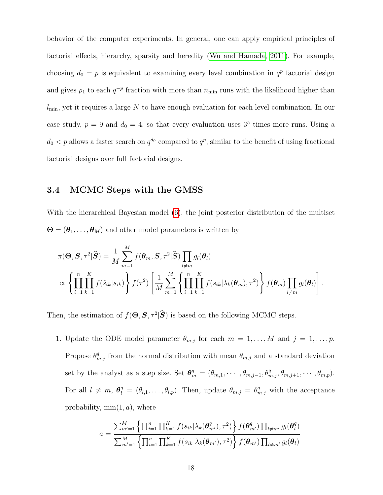behavior of the computer experiments. In general, one can apply empirical principles of factorial effects, hierarchy, sparsity and heredity [\(Wu and Hamada, 2011\)](#page-34-3). For example, choosing  $d_0 = p$  is equivalent to examining every level combination in  $q^p$  factorial design and gives  $\rho_1$  to each  $q^{-p}$  fraction with more than  $n_{\min}$  runs with the likelihood higher than  $l_{\min}$ , yet it requires a large N to have enough evaluation for each level combination. In our case study,  $p = 9$  and  $d_0 = 4$ , so that every evaluation uses  $3<sup>5</sup>$  times more runs. Using a  $d_0 < p$  allows a faster search on  $q^{d_0}$  compared to  $q^p$ , similar to the benefit of using fractional factorial designs over full factorial designs.

#### 3.4 MCMC Steps with the GMSS

With the hierarchical Bayesian model [\(6\)](#page-10-0), the joint posterior distribution of the multiset  $\mathbf{\Theta} = (\theta_1, \dots, \theta_M)$  and other model parameters is written by

$$
\pi(\boldsymbol{\Theta}, \mathbf{S}, \tau^2 | \widehat{\mathbf{S}} ) = \frac{1}{M} \sum_{m=1}^M f(\boldsymbol{\theta}_m, \mathbf{S}, \tau^2 | \widehat{\mathbf{S}} ) \prod_{l \neq m} g_l(\boldsymbol{\theta}_l)
$$
  
 
$$
\propto \left\{ \prod_{i=1}^n \prod_{k=1}^K f(\hat{s}_{ik} | s_{ik}) \right\} f(\tau^2) \left[ \frac{1}{M} \sum_{m=1}^M \left\{ \prod_{i=1}^n \prod_{k=1}^K f(s_{ik} | \lambda_k(\boldsymbol{\theta}_m), \tau^2) \right\} f(\boldsymbol{\theta}_m) \prod_{l \neq m} g_l(\boldsymbol{\theta}_l) \right].
$$

Then, the estimation of  $f(\Theta, \mathbf{S}, \tau^2 | \hat{\mathbf{S}})$  is based on the following MCMC steps.

1. Update the ODE model parameter  $\theta_{m,j}$  for each  $m = 1, \ldots, M$  and  $j = 1, \ldots, p$ . Propose  $\theta_{m,j}^q$  from the normal distribution with mean  $\theta_{m,j}$  and a standard deviation set by the analyst as a step size. Set  $\theta_m^q = (\theta_{m,1}, \cdots, \theta_{m,j-1}, \theta_{m,j}^q, \theta_{m,j+1}, \cdots, \theta_{m,p}).$ For all  $l \neq m$ ,  $\theta_l^q = (\theta_{l,1}, \ldots, \theta_{l,p})$ . Then, update  $\theta_{m,j} = \theta_{m,j}^q$  with the acceptance probability,  $min(1, a)$ , where

$$
a = \frac{\sum_{m'=1}^{M} \left\{ \prod_{i=1}^{n} \prod_{k=1}^{K} f(s_{ik} | \lambda_k(\boldsymbol{\theta}_{m'}^q), \tau^2) \right\} f(\boldsymbol{\theta}_{m'}^q) \prod_{l \neq m'} g_l(\boldsymbol{\theta}_l^q)}{\sum_{m'=1}^{M} \left\{ \prod_{i=1}^{n} \prod_{k=1}^{K} f(s_{ik} | \lambda_k(\boldsymbol{\theta}_{m'}^q), \tau^2) \right\} f(\boldsymbol{\theta}_{m'}) \prod_{l \neq m'} g_l(\boldsymbol{\theta}_l)}
$$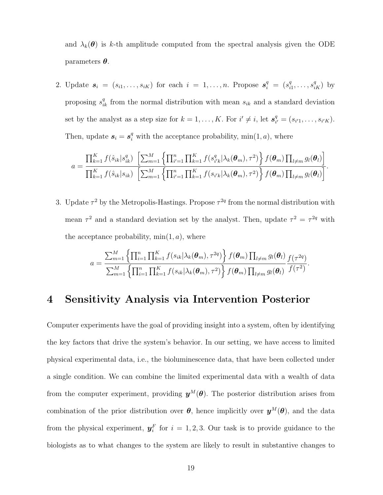and  $\lambda_k(\theta)$  is k-th amplitude computed from the spectral analysis given the ODE parameters  $\theta$ .

2. Update  $s_i = (s_{i1}, \ldots, s_{iK})$  for each  $i = 1, \ldots, n$ . Propose  $s_i^q = (s_i^q)$  $s_{i1}^q, \ldots, s_{iK}^q$ ) by proposing  $s_{ik}^q$  from the normal distribution with mean  $s_{ik}$  and a standard deviation set by the analyst as a step size for  $k = 1, \ldots, K$ . For  $i' \neq i$ , let  $s_i^q$ .  $\frac{q}{i'} = (s_{i'1}, \ldots, s_{i'K}).$ Then, update  $s_i = s_i^q$  with the acceptance probability,  $min(1, a)$ , where

$$
a = \frac{\prod_{k=1}^{K} f(\hat{s}_{ik}|s_{ik}^{q}) \left[ \sum_{m=1}^{M} \left\{ \prod_{i'=1}^{n} \prod_{k=1}^{K} f(s_{i'k}^{q} | \lambda_{k}(\boldsymbol{\theta}_{m}), \tau^{2}) \right\} f(\boldsymbol{\theta}_{m}) \prod_{l \neq m} g_{l}(\boldsymbol{\theta}_{l}) \right]}{\prod_{k=1}^{K} f(\hat{s}_{ik}|s_{ik}) \left[ \sum_{m=1}^{M} \left\{ \prod_{i'=1}^{n} \prod_{k=1}^{K} f(s_{i'k} | \lambda_{k}(\boldsymbol{\theta}_{m}), \tau^{2}) \right\} f(\boldsymbol{\theta}_{m}) \prod_{l \neq m} g_{l}(\boldsymbol{\theta}_{l}) \right]}.
$$

3. Update  $\tau^2$  by the Metropolis-Hastings. Propose  $\tau^{2q}$  from the normal distribution with mean  $\tau^2$  and a standard deviation set by the analyst. Then, update  $\tau^2 = \tau^{2q}$  with the acceptance probability,  $min(1, a)$ , where

$$
a = \frac{\sum_{m=1}^{M} \left\{ \prod_{i=1}^{n} \prod_{k=1}^{K} f(s_{ik}|\lambda_k(\boldsymbol{\theta}_m), \tau^{2q}) \right\} f(\boldsymbol{\theta}_m) \prod_{l \neq m} g_l(\boldsymbol{\theta}_l)}{\sum_{m=1}^{M} \left\{ \prod_{i=1}^{n} \prod_{k=1}^{K} f(s_{ik}|\lambda_k(\boldsymbol{\theta}_m), \tau^{2}) \right\} f(\boldsymbol{\theta}_m) \prod_{l \neq m} g_l(\boldsymbol{\theta}_l)} \frac{f(\tau^{2q})}{f(\tau^2)}.
$$

### <span id="page-18-0"></span>4 Sensitivity Analysis via Intervention Posterior

Computer experiments have the goal of providing insight into a system, often by identifying the key factors that drive the system's behavior. In our setting, we have access to limited physical experimental data, i.e., the bioluminescence data, that have been collected under a single condition. We can combine the limited experimental data with a wealth of data from the computer experiment, providing  $y^M(\theta)$ . The posterior distribution arises from combination of the prior distribution over  $\theta$ , hence implicitly over  $y^M(\theta)$ , and the data from the physical experiment,  $y_i^F$  for  $i = 1, 2, 3$ . Our task is to provide guidance to the biologists as to what changes to the system are likely to result in substantive changes to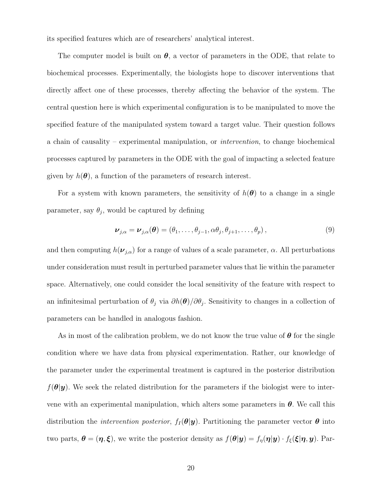its specified features which are of researchers' analytical interest.

The computer model is built on  $\theta$ , a vector of parameters in the ODE, that relate to biochemical processes. Experimentally, the biologists hope to discover interventions that directly affect one of these processes, thereby affecting the behavior of the system. The central question here is which experimental configuration is to be manipulated to move the specified feature of the manipulated system toward a target value. Their question follows a chain of causality – experimental manipulation, or intervention, to change biochemical processes captured by parameters in the ODE with the goal of impacting a selected feature given by  $h(\boldsymbol{\theta})$ , a function of the parameters of research interest.

For a system with known parameters, the sensitivity of  $h(\theta)$  to a change in a single parameter, say  $\theta_j$ , would be captured by defining

<span id="page-19-0"></span>
$$
\nu_{j,\alpha} = \nu_{j,\alpha}(\boldsymbol{\theta}) = (\theta_1, \dots, \theta_{j-1}, \alpha \theta_j, \theta_{j+1}, \dots, \theta_p),
$$
\n(9)

and then computing  $h(\nu_{j,\alpha})$  for a range of values of a scale parameter,  $\alpha$ . All perturbations under consideration must result in perturbed parameter values that lie within the parameter space. Alternatively, one could consider the local sensitivity of the feature with respect to an infinitesimal perturbation of  $\theta_j$  via  $\partial h(\theta)/\partial \theta_j$ . Sensitivity to changes in a collection of parameters can be handled in analogous fashion.

As in most of the calibration problem, we do not know the true value of  $\theta$  for the single condition where we have data from physical experimentation. Rather, our knowledge of the parameter under the experimental treatment is captured in the posterior distribution  $f(\theta|\mathbf{y})$ . We seek the related distribution for the parameters if the biologist were to intervene with an experimental manipulation, which alters some parameters in  $\theta$ . We call this distribution the *intervention posterior*,  $f_I(\theta|\mathbf{y})$ . Partitioning the parameter vector  $\theta$  into two parts,  $\boldsymbol{\theta} = (\boldsymbol{\eta}, \boldsymbol{\xi})$ , we write the posterior density as  $f(\boldsymbol{\theta}|\boldsymbol{y}) = f_{\eta}(\boldsymbol{\eta}|\boldsymbol{y}) \cdot f_{\xi}(\boldsymbol{\xi}|\boldsymbol{\eta}, \boldsymbol{y})$ . Par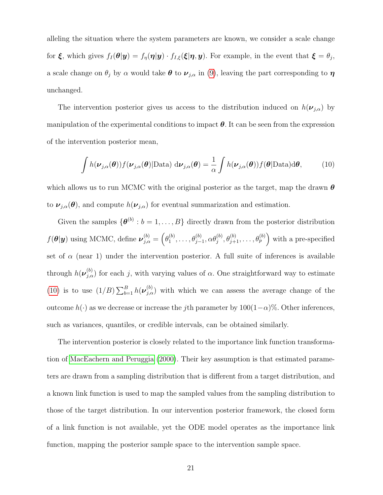alleling the situation where the system parameters are known, we consider a scale change for  $\xi$ , which gives  $f_I(\theta|\mathbf{y}) = f_{\eta}(\eta|\mathbf{y}) \cdot f_{I,\xi}(\xi|\eta,\mathbf{y})$ . For example, in the event that  $\xi = \theta_j$ , a scale change on  $\theta_j$  by  $\alpha$  would take  $\theta$  to  $\nu_{j,\alpha}$  in [\(9\)](#page-19-0), leaving the part corresponding to  $\eta$ unchanged.

The intervention posterior gives us access to the distribution induced on  $h(\nu_{j,\alpha})$  by manipulation of the experimental conditions to impact  $\theta$ . It can be seen from the expression of the intervention posterior mean,

<span id="page-20-0"></span>
$$
\int h(\boldsymbol{\nu}_{j,\alpha}(\boldsymbol{\theta})) f(\boldsymbol{\nu}_{j,\alpha}(\boldsymbol{\theta}) | \text{Data}) \ d\boldsymbol{\nu}_{j,\alpha}(\boldsymbol{\theta}) = \frac{1}{\alpha} \int h(\boldsymbol{\nu}_{j,\alpha}(\boldsymbol{\theta})) f(\boldsymbol{\theta} | \text{Data}) d\boldsymbol{\theta}, \tag{10}
$$

which allows us to run MCMC with the original posterior as the target, map the drawn  $\theta$ to  $\nu_{j,\alpha}(\theta)$ , and compute  $h(\nu_{j,\alpha})$  for eventual summarization and estimation.

Given the samples  $\{\boldsymbol{\theta}^{(b)}: b = 1, \ldots, B\}$  directly drawn from the posterior distribution  $f(\theta | y)$  using MCMC, define  $\nu_{j,\alpha}^{(b)} = \left(\theta_1^{(b)}\right)^j$  $\theta_1^{(b)}, \ldots, \theta_{j-1}^{(b)}, \alpha \theta_j^{(b)}, \theta_{j+1}^{(b)}, \ldots, \theta_p^{(b)}$  with a pre-specified set of  $\alpha$  (near 1) under the intervention posterior. A full suite of inferences is available through  $h(\nu_{j,\alpha}^{(b)})$  for each j, with varying values of  $\alpha$ . One straightforward way to estimate [\(10\)](#page-20-0) is to use  $(1/B)\sum_{b=1}^{B} h(\boldsymbol{\nu}_{j,a}^{(b)})$  with which we can assess the average change of the outcome  $h(\cdot)$  as we decrease or increase the jth parameter by 100(1– $\alpha$ )%. Other inferences, such as variances, quantiles, or credible intervals, can be obtained similarly.

The intervention posterior is closely related to the importance link function transformation of [MacEachern and Peruggia](#page-32-7) [\(2000\)](#page-32-7). Their key assumption is that estimated parameters are drawn from a sampling distribution that is different from a target distribution, and a known link function is used to map the sampled values from the sampling distribution to those of the target distribution. In our intervention posterior framework, the closed form of a link function is not available, yet the ODE model operates as the importance link function, mapping the posterior sample space to the intervention sample space.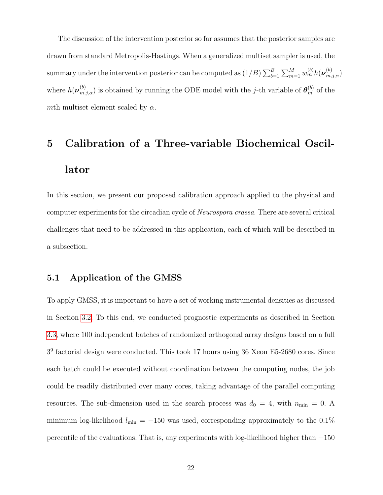The discussion of the intervention posterior so far assumes that the posterior samples are drawn from standard Metropolis-Hastings. When a generalized multiset sampler is used, the summary under the intervention posterior can be computed as  $(1/B)\sum_{b=1}^B\sum_{m=1}^M w_m^{(b)} h(\boldsymbol{\nu}_{m,j,\alpha}^{(b)})$ where  $h(\nu_{m,j,\alpha}^{(b)})$  is obtained by running the ODE model with the j-th variable of  $\theta_{m}^{(b)}$  of the mth multiset element scaled by  $\alpha$ .

# <span id="page-21-0"></span>5 Calibration of a Three-variable Biochemical Oscillator

In this section, we present our proposed calibration approach applied to the physical and computer experiments for the circadian cycle of *Neurospora crassa*. There are several critical challenges that need to be addressed in this application, each of which will be described in a subsection.

#### 5.1 Application of the GMSS

To apply GMSS, it is important to have a set of working instrumental densities as discussed in Section [3.2.](#page-10-1) To this end, we conducted prognostic experiments as described in Section [3.3,](#page-14-0) where 100 independent batches of randomized orthogonal array designs based on a full 3 9 factorial design were conducted. This took 17 hours using 36 Xeon E5-2680 cores. Since each batch could be executed without coordination between the computing nodes, the job could be readily distributed over many cores, taking advantage of the parallel computing resources. The sub-dimension used in the search process was  $d_0 = 4$ , with  $n_{\text{min}} = 0$ . A minimum log-likelihood  $l_{\min} = -150$  was used, corresponding approximately to the 0.1% percentile of the evaluations. That is, any experiments with log-likelihood higher than −150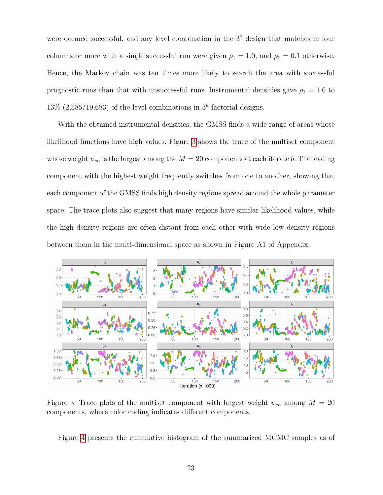were deemed successful, and any level combination in the  $3<sup>9</sup>$  design that matches in four columns or more with a single successful run were given  $\rho_1 = 1.0$ , and  $\rho_0 = 0.1$  otherwise. Hence, the Markov chain was ten times more likely to search the area with successful prognostic runs than that with unsuccessful runs. Instrumental densities gave  $\rho_1 = 1.0$  to  $13\%$  (2,585/19,683) of the level combinations in  $3<sup>9</sup>$  factorial designs.

With the obtained instrumental densities, the GMSS finds a wide range of areas whose likelihood functions have high values. Figure [3](#page-22-0) shows the trace of the multiset component whose weight  $w_m$  is the largest among the  $M = 20$  components at each iterate b. The leading component with the highest weight frequently switches from one to another, showing that each component of the GMSS finds high density regions spread around the whole parameter space. The trace plots also suggest that many regions have similar likelihood values, while the high density regions are often distant from each other with wide low density regions between them in the multi-dimensional space as shown in Figure A1 of Appendix.



<span id="page-22-0"></span>Figure 3: Trace plots of the multiset component with largest weight  $w_m$  among  $M = 20$ components, where color coding indicates different components.

Figure [4](#page-23-0) presents the cumulative histogram of the summarized MCMC samples as of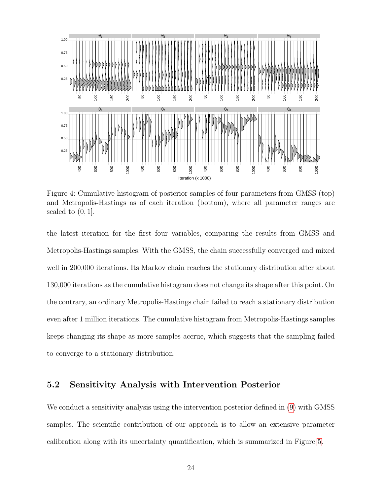

<span id="page-23-0"></span>Figure 4: Cumulative histogram of posterior samples of four parameters from GMSS (top) and Metropolis-Hastings as of each iteration (bottom), where all parameter ranges are scaled to  $(0, 1]$ .

the latest iteration for the first four variables, comparing the results from GMSS and Metropolis-Hastings samples. With the GMSS, the chain successfully converged and mixed well in 200,000 iterations. Its Markov chain reaches the stationary distribution after about 130,000 iterations as the cumulative histogram does not change its shape after this point. On the contrary, an ordinary Metropolis-Hastings chain failed to reach a stationary distribution even after 1 million iterations. The cumulative histogram from Metropolis-Hastings samples keeps changing its shape as more samples accrue, which suggests that the sampling failed to converge to a stationary distribution.

#### 5.2 Sensitivity Analysis with Intervention Posterior

We conduct a sensitivity analysis using the intervention posterior defined in [\(9\)](#page-19-0) with GMSS samples. The scientific contribution of our approach is to allow an extensive parameter calibration along with its uncertainty quantification, which is summarized in Figure [5.](#page-24-0)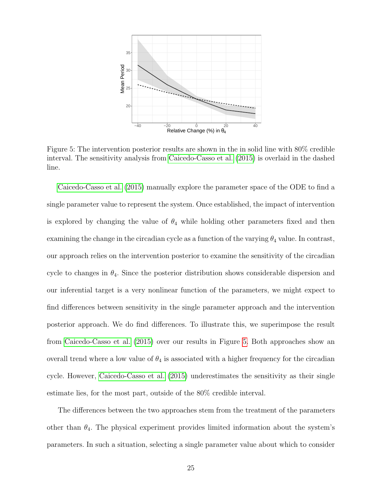

<span id="page-24-0"></span>Figure 5: The intervention posterior results are shown in the in solid line with 80% credible interval. The sensitivity analysis from [Caicedo-Casso et al.](#page-29-3) [\(2015\)](#page-29-3) is overlaid in the dashed line.

[Caicedo-Casso et al.](#page-29-3) [\(2015\)](#page-29-3) manually explore the parameter space of the ODE to find a single parameter value to represent the system. Once established, the impact of intervention is explored by changing the value of  $\theta_4$  while holding other parameters fixed and then examining the change in the circadian cycle as a function of the varying  $\theta_4$  value. In contrast, our approach relies on the intervention posterior to examine the sensitivity of the circadian cycle to changes in  $\theta_4$ . Since the posterior distribution shows considerable dispersion and our inferential target is a very nonlinear function of the parameters, we might expect to find differences between sensitivity in the single parameter approach and the intervention posterior approach. We do find differences. To illustrate this, we superimpose the result from [Caicedo-Casso et al.](#page-29-3) [\(2015\)](#page-29-3) over our results in Figure [5.](#page-24-0) Both approaches show an overall trend where a low value of  $\theta_4$  is associated with a higher frequency for the circadian cycle. However, [Caicedo-Casso et al.](#page-29-3) [\(2015\)](#page-29-3) underestimates the sensitivity as their single estimate lies, for the most part, outside of the 80% credible interval.

The differences between the two approaches stem from the treatment of the parameters other than  $\theta_4$ . The physical experiment provides limited information about the system's parameters. In such a situation, selecting a single parameter value about which to consider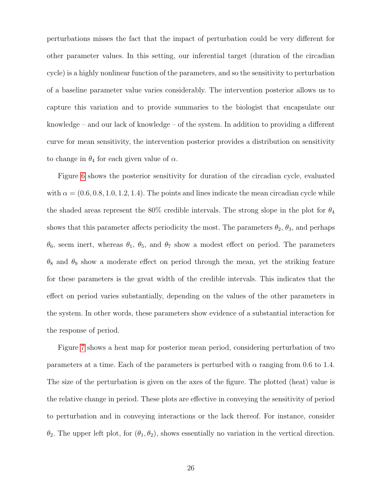perturbations misses the fact that the impact of perturbation could be very different for other parameter values. In this setting, our inferential target (duration of the circadian cycle) is a highly nonlinear function of the parameters, and so the sensitivity to perturbation of a baseline parameter value varies considerably. The intervention posterior allows us to capture this variation and to provide summaries to the biologist that encapsulate our knowledge – and our lack of knowledge – of the system. In addition to providing a different curve for mean sensitivity, the intervention posterior provides a distribution on sensitivity to change in  $\theta_4$  for each given value of  $\alpha$ .

Figure [6](#page-26-0) shows the posterior sensitivity for duration of the circadian cycle, evaluated with  $\alpha = (0.6, 0.8, 1.0, 1.2, 1.4)$ . The points and lines indicate the mean circadian cycle while the shaded areas represent the 80% credible intervals. The strong slope in the plot for  $\theta_4$ shows that this parameter affects periodicity the most. The parameters  $\theta_2$ ,  $\theta_3$ , and perhaps  $\theta_6$ , seem inert, whereas  $\theta_1$ ,  $\theta_5$ , and  $\theta_7$  show a modest effect on period. The parameters  $\theta_8$  and  $\theta_9$  show a moderate effect on period through the mean, yet the striking feature for these parameters is the great width of the credible intervals. This indicates that the effect on period varies substantially, depending on the values of the other parameters in the system. In other words, these parameters show evidence of a substantial interaction for the response of period.

Figure [7](#page-27-1) shows a heat map for posterior mean period, considering perturbation of two parameters at a time. Each of the parameters is perturbed with  $\alpha$  ranging from 0.6 to 1.4. The size of the perturbation is given on the axes of the figure. The plotted (heat) value is the relative change in period. These plots are effective in conveying the sensitivity of period to perturbation and in conveying interactions or the lack thereof. For instance, consider  $\theta_2$ . The upper left plot, for  $(\theta_1, \theta_2)$ , shows essentially no variation in the vertical direction.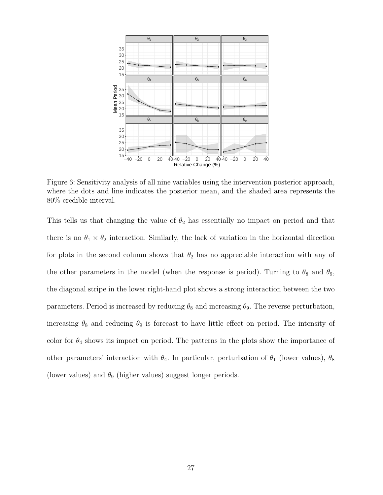

<span id="page-26-0"></span>Figure 6: Sensitivity analysis of all nine variables using the intervention posterior approach, where the dots and line indicates the posterior mean, and the shaded area represents the 80% credible interval.

This tells us that changing the value of  $\theta_2$  has essentially no impact on period and that there is no  $\theta_1 \times \theta_2$  interaction. Similarly, the lack of variation in the horizontal direction for plots in the second column shows that  $\theta_2$  has no appreciable interaction with any of the other parameters in the model (when the response is period). Turning to  $\theta_8$  and  $\theta_9$ , the diagonal stripe in the lower right-hand plot shows a strong interaction between the two parameters. Period is increased by reducing  $\theta_8$  and increasing  $\theta_9$ . The reverse perturbation, increasing  $\theta_8$  and reducing  $\theta_9$  is forecast to have little effect on period. The intensity of color for  $\theta_4$  shows its impact on period. The patterns in the plots show the importance of other parameters' interaction with  $\theta_4$ . In particular, perturbation of  $\theta_1$  (lower values),  $\theta_8$ (lower values) and  $\theta_9$  (higher values) suggest longer periods.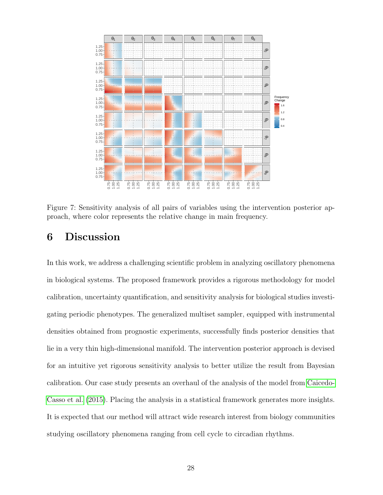

<span id="page-27-1"></span>Figure 7: Sensitivity analysis of all pairs of variables using the intervention posterior approach, where color represents the relative change in main frequency.

## <span id="page-27-0"></span>6 Discussion

In this work, we address a challenging scientific problem in analyzing oscillatory phenomena in biological systems. The proposed framework provides a rigorous methodology for model calibration, uncertainty quantification, and sensitivity analysis for biological studies investigating periodic phenotypes. The generalized multiset sampler, equipped with instrumental densities obtained from prognostic experiments, successfully finds posterior densities that lie in a very thin high-dimensional manifold. The intervention posterior approach is devised for an intuitive yet rigorous sensitivity analysis to better utilize the result from Bayesian calibration. Our case study presents an overhaul of the analysis of the model from [Caicedo-](#page-29-3)[Casso et al.](#page-29-3) [\(2015\)](#page-29-3). Placing the analysis in a statistical framework generates more insights. It is expected that our method will attract wide research interest from biology communities studying oscillatory phenomena ranging from cell cycle to circadian rhythms.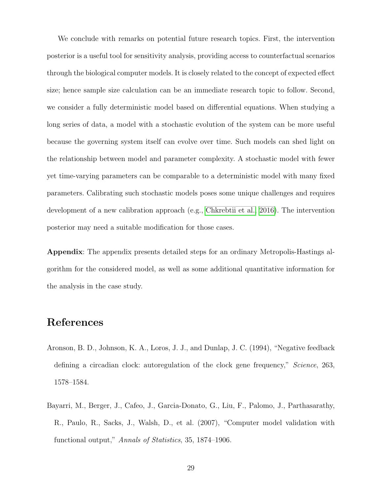We conclude with remarks on potential future research topics. First, the intervention posterior is a useful tool for sensitivity analysis, providing access to counterfactual scenarios through the biological computer models. It is closely related to the concept of expected effect size; hence sample size calculation can be an immediate research topic to follow. Second, we consider a fully deterministic model based on differential equations. When studying a long series of data, a model with a stochastic evolution of the system can be more useful because the governing system itself can evolve over time. Such models can shed light on the relationship between model and parameter complexity. A stochastic model with fewer yet time-varying parameters can be comparable to a deterministic model with many fixed parameters. Calibrating such stochastic models poses some unique challenges and requires development of a new calibration approach (e.g., [Chkrebtii et al., 2016\)](#page-29-7). The intervention posterior may need a suitable modification for those cases.

Appendix: The appendix presents detailed steps for an ordinary Metropolis-Hastings algorithm for the considered model, as well as some additional quantitative information for the analysis in the case study.

## References

- <span id="page-28-1"></span>Aronson, B. D., Johnson, K. A., Loros, J. J., and Dunlap, J. C. (1994), "Negative feedback defining a circadian clock: autoregulation of the clock gene frequency," Science, 263, 1578–1584.
- <span id="page-28-0"></span>Bayarri, M., Berger, J., Cafeo, J., Garcia-Donato, G., Liu, F., Palomo, J., Parthasarathy, R., Paulo, R., Sacks, J., Walsh, D., et al. (2007), "Computer model validation with functional output," Annals of Statistics, 35, 1874–1906.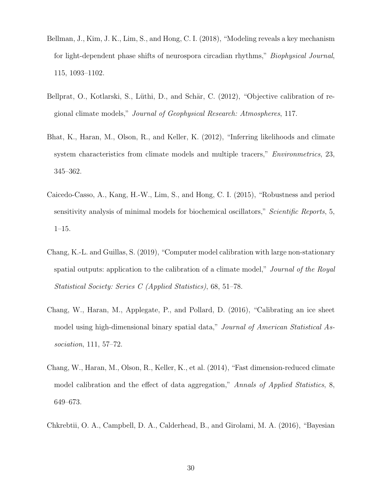- <span id="page-29-4"></span>Bellman, J., Kim, J. K., Lim, S., and Hong, C. I. (2018), "Modeling reveals a key mechanism for light-dependent phase shifts of neurospora circadian rhythms," Biophysical Journal, 115, 1093–1102.
- <span id="page-29-0"></span>Bellprat, O., Kotlarski, S., Lüthi, D., and Schär, C. (2012), "Objective calibration of regional climate models," Journal of Geophysical Research: Atmospheres, 117.
- <span id="page-29-5"></span>Bhat, K., Haran, M., Olson, R., and Keller, K. (2012), "Inferring likelihoods and climate system characteristics from climate models and multiple tracers," *Environmetrics*, 23, 345–362.
- <span id="page-29-3"></span>Caicedo-Casso, A., Kang, H.-W., Lim, S., and Hong, C. I. (2015), "Robustness and period sensitivity analysis of minimal models for biochemical oscillators," Scientific Reports, 5, 1–15.
- <span id="page-29-6"></span>Chang, K.-L. and Guillas, S. (2019), "Computer model calibration with large non-stationary spatial outputs: application to the calibration of a climate model," Journal of the Royal Statistical Society: Series C (Applied Statistics), 68, 51–78.
- <span id="page-29-2"></span>Chang, W., Haran, M., Applegate, P., and Pollard, D. (2016), "Calibrating an ice sheet model using high-dimensional binary spatial data," Journal of American Statistical Association, 111, 57–72.
- <span id="page-29-1"></span>Chang, W., Haran, M., Olson, R., Keller, K., et al. (2014), "Fast dimension-reduced climate model calibration and the effect of data aggregation," Annals of Applied Statistics, 8, 649–673.
- <span id="page-29-7"></span>Chkrebtii, O. A., Campbell, D. A., Calderhead, B., and Girolami, M. A. (2016), "Bayesian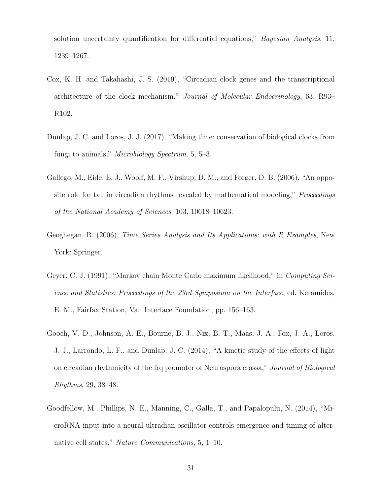solution uncertainty quantification for differential equations," *Bayesian Analysis*, 11, 1239–1267.

- <span id="page-30-2"></span>Cox, K. H. and Takahashi, J. S. (2019), "Circadian clock genes and the transcriptional architecture of the clock mechanism," Journal of Molecular Endocrinology, 63, R93– R102.
- <span id="page-30-1"></span>Dunlap, J. C. and Loros, J. J. (2017), "Making time: conservation of biological clocks from fungi to animals," Microbiology Spectrum, 5, 5–3.
- <span id="page-30-0"></span>Gallego, M., Eide, E. J., Woolf, M. F., Virshup, D. M., and Forger, D. B. (2006), "An opposite role for tau in circadian rhythms revealed by mathematical modeling," *Proceedings* of the National Academy of Sciences, 103, 10618–10623.
- <span id="page-30-5"></span>Geoghegan, R. (2006), Time Series Analysis and Its Applications: with R Examples, New York: Springer.
- <span id="page-30-6"></span>Geyer, C. J. (1991), "Markov chain Monte Carlo maximum likelihood," in Computing Science and Statistics: Proceedings of the 23rd Symposium on the Interface, ed. Keramides, E. M., Fairfax Station, Va.: Interface Foundation, pp. 156–163.
- <span id="page-30-3"></span>Gooch, V. D., Johnson, A. E., Bourne, B. J., Nix, B. T., Maas, J. A., Fox, J. A., Loros, J. J., Larrondo, L. F., and Dunlap, J. C. (2014), "A kinetic study of the effects of light on circadian rhythmicity of the frq promoter of Neurospora crassa," Journal of Biological Rhythms, 29, 38–48.
- <span id="page-30-4"></span>Goodfellow, M., Phillips, N. E., Manning, C., Galla, T., and Papalopulu, N. (2014), "MicroRNA input into a neural ultradian oscillator controls emergence and timing of alternative cell states," Nature Communications, 5, 1–10.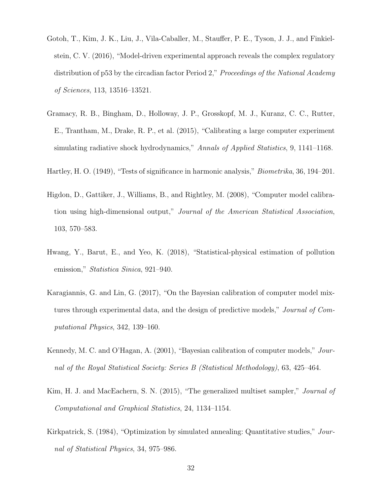- <span id="page-31-0"></span>Gotoh, T., Kim, J. K., Liu, J., Vila-Caballer, M., Stauffer, P. E., Tyson, J. J., and Finkielstein, C. V. (2016), "Model-driven experimental approach reveals the complex regulatory distribution of p53 by the circadian factor Period 2," Proceedings of the National Academy of Sciences, 113, 13516–13521.
- <span id="page-31-3"></span>Gramacy, R. B., Bingham, D., Holloway, J. P., Grosskopf, M. J., Kuranz, C. C., Rutter, E., Trantham, M., Drake, R. P., et al. (2015), "Calibrating a large computer experiment simulating radiative shock hydrodynamics," Annals of Applied Statistics, 9, 1141–1168.
- <span id="page-31-8"></span><span id="page-31-2"></span>Hartley, H. O. (1949), "Tests of significance in harmonic analysis," Biometrika, 36, 194–201.
- Higdon, D., Gattiker, J., Williams, B., and Rightley, M. (2008), "Computer model calibration using high-dimensional output," Journal of the American Statistical Association, 103, 570–583.
- <span id="page-31-4"></span>Hwang, Y., Barut, E., and Yeo, K. (2018), "Statistical-physical estimation of pollution emission," Statistica Sinica, 921–940.
- <span id="page-31-5"></span>Karagiannis, G. and Lin, G. (2017), "On the Bayesian calibration of computer model mixtures through experimental data, and the design of predictive models," Journal of Computational Physics, 342, 139–160.
- <span id="page-31-1"></span>Kennedy, M. C. and O'Hagan, A. (2001), "Bayesian calibration of computer models," Journal of the Royal Statistical Society: Series B (Statistical Methodology), 63, 425–464.
- <span id="page-31-6"></span>Kim, H. J. and MacEachern, S. N. (2015), "The generalized multiset sampler," *Journal of* Computational and Graphical Statistics, 24, 1134–1154.
- <span id="page-31-7"></span>Kirkpatrick, S. (1984), "Optimization by simulated annealing: Quantitative studies," Journal of Statistical Physics, 34, 975–986.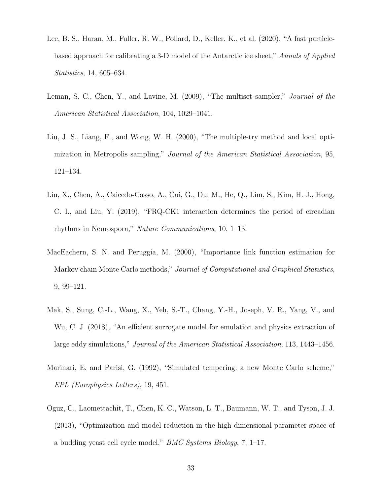- <span id="page-32-0"></span>Lee, B. S., Haran, M., Fuller, R. W., Pollard, D., Keller, K., et al. (2020), "A fast particlebased approach for calibrating a 3-D model of the Antarctic ice sheet," Annals of Applied Statistics, 14, 605–634.
- <span id="page-32-6"></span>Leman, S. C., Chen, Y., and Lavine, M. (2009), "The multiset sampler," Journal of the American Statistical Association, 104, 1029–1041.
- <span id="page-32-5"></span>Liu, J. S., Liang, F., and Wong, W. H. (2000), "The multiple-try method and local optimization in Metropolis sampling," Journal of the American Statistical Association, 95, 121–134.
- <span id="page-32-2"></span>Liu, X., Chen, A., Caicedo-Casso, A., Cui, G., Du, M., He, Q., Lim, S., Kim, H. J., Hong, C. I., and Liu, Y. (2019), "FRQ-CK1 interaction determines the period of circadian rhythms in Neurospora," Nature Communications, 10, 1–13.
- <span id="page-32-7"></span>MacEachern, S. N. and Peruggia, M. (2000), "Importance link function estimation for Markov chain Monte Carlo methods," Journal of Computational and Graphical Statistics, 9, 99–121.
- <span id="page-32-1"></span>Mak, S., Sung, C.-L., Wang, X., Yeh, S.-T., Chang, Y.-H., Joseph, V. R., Yang, V., and Wu, C. J. (2018), "An efficient surrogate model for emulation and physics extraction of large eddy simulations," Journal of the American Statistical Association, 113, 1443–1456.
- <span id="page-32-4"></span>Marinari, E. and Parisi, G. (1992), "Simulated tempering: a new Monte Carlo scheme," EPL (Europhysics Letters), 19, 451.
- <span id="page-32-3"></span>Oguz, C., Laomettachit, T., Chen, K. C., Watson, L. T., Baumann, W. T., and Tyson, J. J. (2013), "Optimization and model reduction in the high dimensional parameter space of a budding yeast cell cycle model," BMC Systems Biology, 7, 1–17.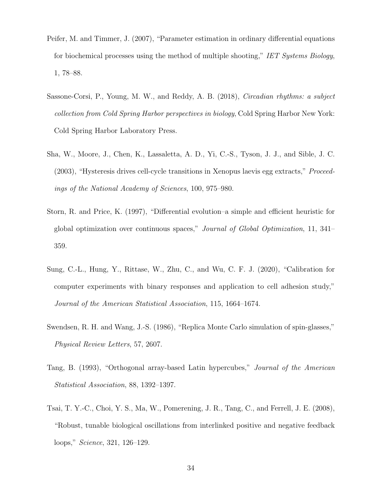- <span id="page-33-5"></span>Peifer, M. and Timmer, J. (2007), "Parameter estimation in ordinary differential equations for biochemical processes using the method of multiple shooting," IET Systems Biology, 1, 78–88.
- <span id="page-33-0"></span>Sassone-Corsi, P., Young, M. W., and Reddy, A. B. (2018), Circadian rhythms: a subject collection from Cold Spring Harbor perspectives in biology, Cold Spring Harbor New York: Cold Spring Harbor Laboratory Press.
- <span id="page-33-1"></span>Sha, W., Moore, J., Chen, K., Lassaletta, A. D., Yi, C.-S., Tyson, J. J., and Sible, J. C. (2003), "Hysteresis drives cell-cycle transitions in Xenopus laevis egg extracts," Proceedings of the National Academy of Sciences, 100, 975–980.
- <span id="page-33-4"></span>Storn, R. and Price, K. (1997), "Differential evolution–a simple and efficient heuristic for global optimization over continuous spaces," Journal of Global Optimization, 11, 341– 359.
- <span id="page-33-3"></span>Sung, C.-L., Hung, Y., Rittase, W., Zhu, C., and Wu, C. F. J. (2020), "Calibration for computer experiments with binary responses and application to cell adhesion study," Journal of the American Statistical Association, 115, 1664–1674.
- <span id="page-33-6"></span>Swendsen, R. H. and Wang, J.-S. (1986), "Replica Monte Carlo simulation of spin-glasses," Physical Review Letters, 57, 2607.
- <span id="page-33-7"></span>Tang, B. (1993), "Orthogonal array-based Latin hypercubes," Journal of the American Statistical Association, 88, 1392–1397.
- <span id="page-33-2"></span>Tsai, T. Y.-C., Choi, Y. S., Ma, W., Pomerening, J. R., Tang, C., and Ferrell, J. E. (2008), "Robust, tunable biological oscillations from interlinked positive and negative feedback loops," Science, 321, 126–129.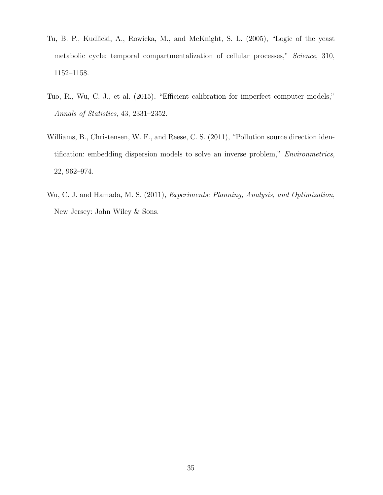- <span id="page-34-0"></span>Tu, B. P., Kudlicki, A., Rowicka, M., and McKnight, S. L. (2005), "Logic of the yeast metabolic cycle: temporal compartmentalization of cellular processes," Science, 310, 1152–1158.
- <span id="page-34-1"></span>Tuo, R., Wu, C. J., et al. (2015), "Efficient calibration for imperfect computer models," Annals of Statistics, 43, 2331–2352.
- <span id="page-34-2"></span>Williams, B., Christensen, W. F., and Reese, C. S. (2011), "Pollution source direction identification: embedding dispersion models to solve an inverse problem," Environmetrics, 22, 962–974.
- <span id="page-34-3"></span>Wu, C. J. and Hamada, M. S. (2011), Experiments: Planning, Analysis, and Optimization, New Jersey: John Wiley & Sons.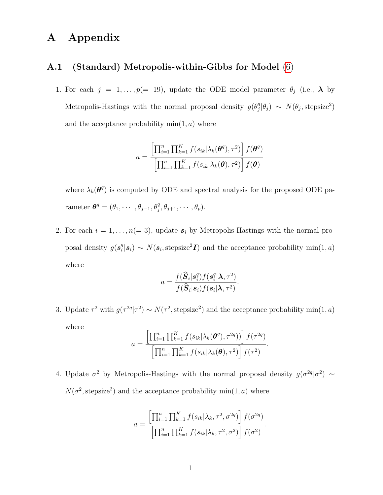## A Appendix

#### A.1 (Standard) Metropolis-within-Gibbs for Model [\(6\)](#page-10-0)

1. For each  $j = 1, ..., p (= 19)$ , update the ODE model parameter  $\theta_j$  (i.e.,  $\lambda$  by Metropolis-Hastings with the normal proposal density  $g(\theta_i^q)$  $j^q | \theta_j \rangle \sim N(\theta_j, \text{stepsize}^2)$ and the acceptance probability  $min(1, a)$  where

$$
a = \frac{\left[\prod_{i=1}^{n} \prod_{k=1}^{K} f(s_{ik}|\lambda_k(\boldsymbol{\theta}^q), \tau^2)\right] f(\boldsymbol{\theta}^q)}{\left[\prod_{i=1}^{n} \prod_{k=1}^{K} f(s_{ik}|\lambda_k(\boldsymbol{\theta}), \tau^2)\right] f(\boldsymbol{\theta})}
$$

where  $\lambda_k(\theta^q)$  is computed by ODE and spectral analysis for the proposed ODE parameter  $\boldsymbol{\theta}^q = (\theta_1, \cdots, \theta_{j-1}, \theta_j^q, \theta_{j+1}, \cdots, \theta_p).$ 

2. For each  $i = 1, ..., n(= 3)$ , update  $s_i$  by Metropolis-Hastings with the normal proposal density  $g(s_i^q)$  $\mathbf{g}_i^q|\mathbf{s}_i\rangle \sim N(\mathbf{s}_i, \text{stepsize}^2 \mathbf{I})$  and the acceptance probability  $\min(1, a)$ where

$$
a = \frac{f(\widehat{\boldsymbol{S}}_i|\boldsymbol{s}_i^q)f(\boldsymbol{s}_i^q|\boldsymbol{\lambda},\tau^2)}{f(\widehat{\boldsymbol{S}}_i|\boldsymbol{s}_i)f(\boldsymbol{s}_i|\boldsymbol{\lambda},\tau^2)}.
$$

3. Update  $\tau^2$  with  $g(\tau^{2q}|\tau^2) \sim N(\tau^2, \text{stepsize}^2)$  and the acceptance probability min(1, a) where  $\overline{\phantom{a}}$ 

$$
a = \frac{\left[\prod_{i=1}^{n} \prod_{k=1}^{K} f(s_{ik}|\lambda_k(\boldsymbol{\theta}^q), \tau^{2q}))\right] f(\tau^{2q})}{\left[\prod_{i=1}^{n} \prod_{k=1}^{K} f(s_{ik}|\lambda_k(\boldsymbol{\theta}), \tau^{2})\right] f(\tau^{2})}.
$$

4. Update  $\sigma^2$  by Metropolis-Hastings with the normal proposal density  $g(\sigma^{2q}|\sigma^2) \sim$  $N(\sigma^2, \text{stepsize}^2)$  and the acceptance probability min $(1, a)$  where

$$
a = \frac{\left[\prod_{i=1}^{n} \prod_{k=1}^{K} f(s_{ik} | \lambda_k, \tau^2, \sigma^{2q})\right] f(\sigma^{2q})}{\left[\prod_{i=1}^{n} \prod_{k=1}^{K} f(s_{ik} | \lambda_k, \tau^2, \sigma^2)\right] f(\sigma^2)}.
$$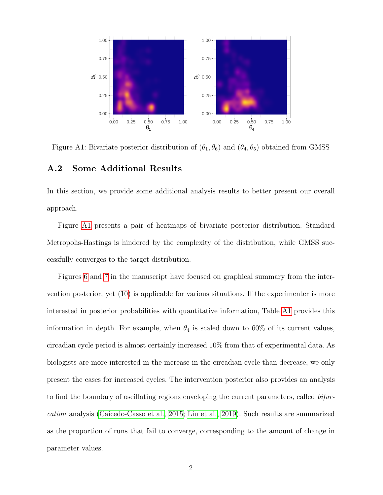

Figure A1: Bivariate posterior distribution of  $(\theta_1, \theta_6)$  and  $(\theta_4, \theta_5)$  obtained from GMSS

#### A.2 Some Additional Results

In this section, we provide some additional analysis results to better present our overall approach.

Figure [A1](#page-4-1) presents a pair of heatmaps of bivariate posterior distribution. Standard Metropolis-Hastings is hindered by the complexity of the distribution, while GMSS successfully converges to the target distribution.

Figures [6](#page-26-0) and [7](#page-27-1) in the manuscript have focused on graphical summary from the intervention posterior, yet [\(10\)](#page-20-0) is applicable for various situations. If the experimenter is more interested in posterior probabilities with quantitative information, Table [A1](#page-37-0) provides this information in depth. For example, when  $\theta_4$  is scaled down to 60% of its current values, circadian cycle period is almost certainly increased 10% from that of experimental data. As biologists are more interested in the increase in the circadian cycle than decrease, we only present the cases for increased cycles. The intervention posterior also provides an analysis to find the boundary of oscillating regions enveloping the current parameters, called bifurcation analysis [\(Caicedo-Casso et al., 2015;](#page-29-3) [Liu et al., 2019\)](#page-32-2). Such results are summarized as the proportion of runs that fail to converge, corresponding to the amount of change in parameter values.